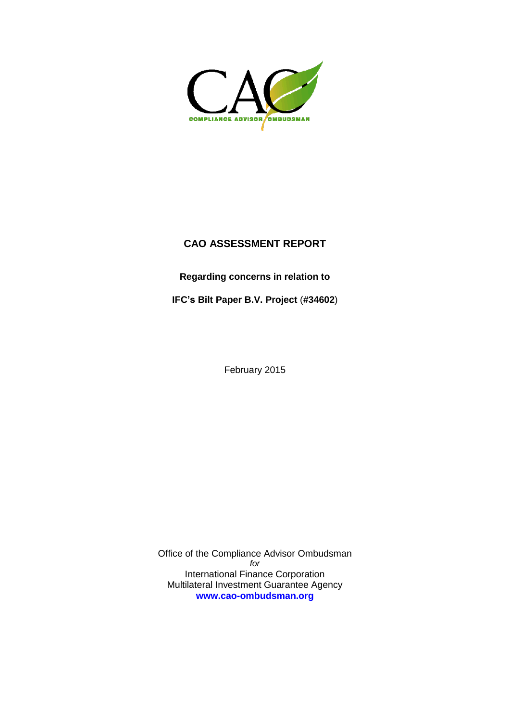

# **CAO ASSESSMENT REPORT**

**Regarding concerns in relation to** 

**IFC's Bilt Paper B.V. Project** (**#34602**)

February 2015

Office of the Compliance Advisor Ombudsman *for* International Finance Corporation Multilateral Investment Guarantee Agency **[www.cao-ombudsman.org](http://www.cao-ombudsman.org/)**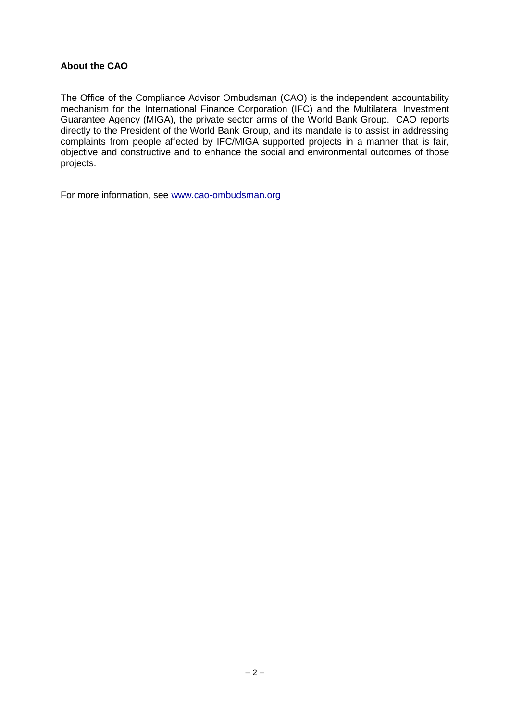#### **About the CAO**

The Office of the Compliance Advisor Ombudsman (CAO) is the independent accountability mechanism for the International Finance Corporation (IFC) and the Multilateral Investment Guarantee Agency (MIGA), the private sector arms of the World Bank Group. CAO reports directly to the President of the World Bank Group, and its mandate is to assist in addressing complaints from people affected by IFC/MIGA supported projects in a manner that is fair, objective and constructive and to enhance the social and environmental outcomes of those projects.

For more information, see www.cao-ombudsman.org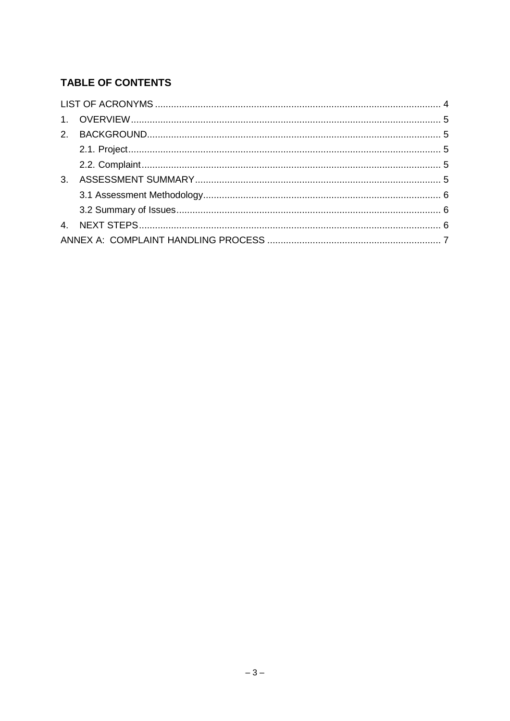# TABLE OF CONTENTS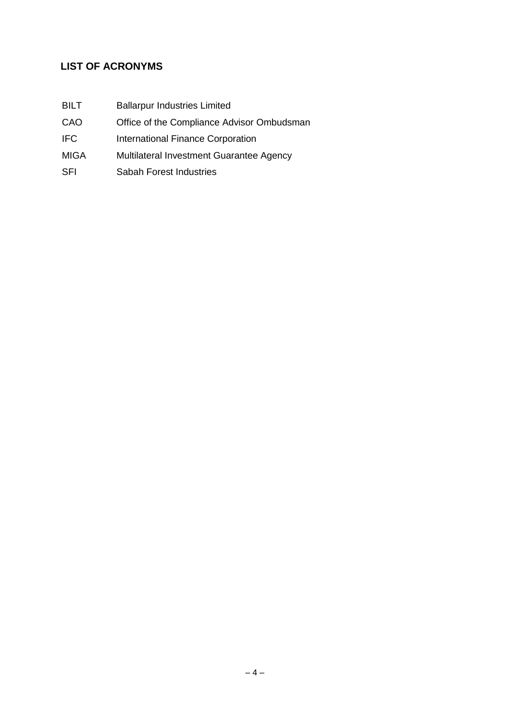# **LIST OF ACRONYMS**

- BILT Ballarpur Industries Limited
- CAO Office of the Compliance Advisor Ombudsman
- IFC International Finance Corporation
- MIGA Multilateral Investment Guarantee Agency
- SFI Sabah Forest Industries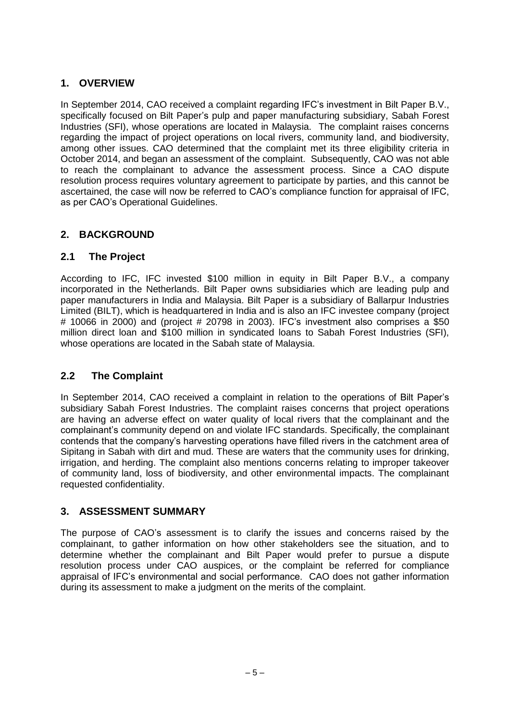# **1. OVERVIEW**

In September 2014, CAO received a complaint regarding IFC's investment in Bilt Paper B.V., specifically focused on Bilt Paper's pulp and paper manufacturing subsidiary, Sabah Forest Industries (SFI), whose operations are located in Malaysia. The complaint raises concerns regarding the impact of project operations on local rivers, community land, and biodiversity, among other issues. CAO determined that the complaint met its three eligibility criteria in October 2014, and began an assessment of the complaint. Subsequently, CAO was not able to reach the complainant to advance the assessment process. Since a CAO dispute resolution process requires voluntary agreement to participate by parties, and this cannot be ascertained, the case will now be referred to CAO's compliance function for appraisal of IFC, as per CAO's Operational Guidelines.

# **2. BACKGROUND**

### **2.1 The Project**

According to IFC, IFC invested \$100 million in equity in Bilt Paper B.V., a company incorporated in the Netherlands. Bilt Paper owns subsidiaries which are leading pulp and paper manufacturers in India and Malaysia. Bilt Paper is a subsidiary of Ballarpur Industries Limited (BILT), which is headquartered in India and is also an IFC investee company (project # 10066 in 2000) and (project # 20798 in 2003). IFC's investment also comprises a \$50 million direct loan and \$100 million in syndicated loans to Sabah Forest Industries (SFI), whose operations are located in the Sabah state of Malaysia.

### **2.2 The Complaint**

In September 2014, CAO received a complaint in relation to the operations of Bilt Paper's subsidiary Sabah Forest Industries. The complaint raises concerns that project operations are having an adverse effect on water quality of local rivers that the complainant and the complainant's community depend on and violate IFC standards. Specifically, the complainant contends that the company's harvesting operations have filled rivers in the catchment area of Sipitang in Sabah with dirt and mud. These are waters that the community uses for drinking, irrigation, and herding. The complaint also mentions concerns relating to improper takeover of community land, loss of biodiversity, and other environmental impacts. The complainant requested confidentiality.

### **3. ASSESSMENT SUMMARY**

The purpose of CAO's assessment is to clarify the issues and concerns raised by the complainant, to gather information on how other stakeholders see the situation, and to determine whether the complainant and Bilt Paper would prefer to pursue a dispute resolution process under CAO auspices, or the complaint be referred for compliance appraisal of IFC's environmental and social performance. CAO does not gather information during its assessment to make a judgment on the merits of the complaint.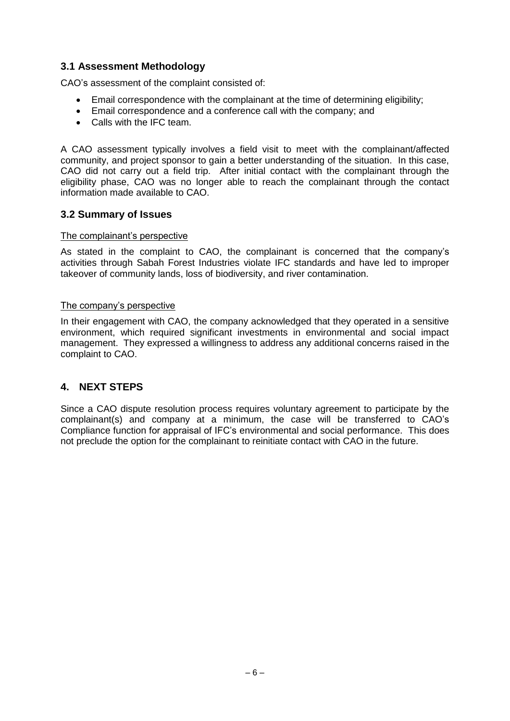### **3.1 Assessment Methodology**

CAO's assessment of the complaint consisted of:

- Email correspondence with the complainant at the time of determining eligibility;
- Email correspondence and a conference call with the company; and
- Calls with the IFC team.

A CAO assessment typically involves a field visit to meet with the complainant/affected community, and project sponsor to gain a better understanding of the situation. In this case, CAO did not carry out a field trip. After initial contact with the complainant through the eligibility phase, CAO was no longer able to reach the complainant through the contact information made available to CAO.

#### **3.2 Summary of Issues**

#### The complainant's perspective

As stated in the complaint to CAO, the complainant is concerned that the company's activities through Sabah Forest Industries violate IFC standards and have led to improper takeover of community lands, loss of biodiversity, and river contamination.

#### The company's perspective

In their engagement with CAO, the company acknowledged that they operated in a sensitive environment, which required significant investments in environmental and social impact management. They expressed a willingness to address any additional concerns raised in the complaint to CAO.

#### **4. NEXT STEPS**

Since a CAO dispute resolution process requires voluntary agreement to participate by the complainant(s) and company at a minimum, the case will be transferred to CAO's Compliance function for appraisal of IFC's environmental and social performance. This does not preclude the option for the complainant to reinitiate contact with CAO in the future.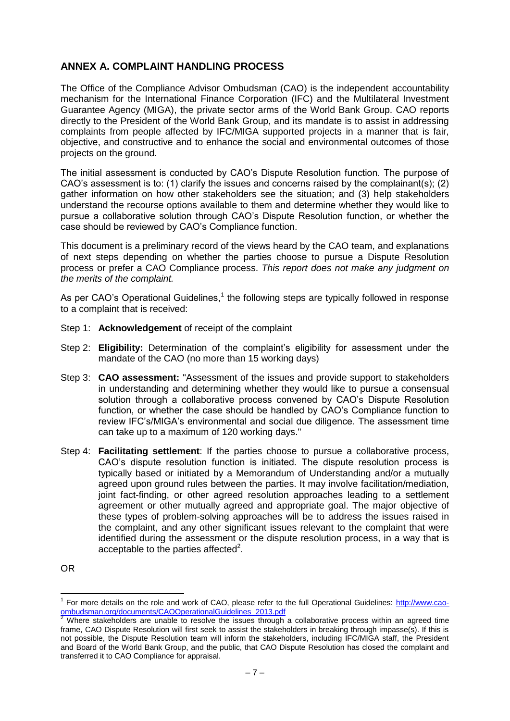### **ANNEX A. COMPLAINT HANDLING PROCESS**

The Office of the Compliance Advisor Ombudsman (CAO) is the independent accountability mechanism for the International Finance Corporation (IFC) and the Multilateral Investment Guarantee Agency (MIGA), the private sector arms of the World Bank Group. CAO reports directly to the President of the World Bank Group, and its mandate is to assist in addressing complaints from people affected by IFC/MIGA supported projects in a manner that is fair, objective, and constructive and to enhance the social and environmental outcomes of those projects on the ground.

The initial assessment is conducted by CAO's Dispute Resolution function. The purpose of CAO's assessment is to: (1) clarify the issues and concerns raised by the complainant(s); (2) gather information on how other stakeholders see the situation; and (3) help stakeholders understand the recourse options available to them and determine whether they would like to pursue a collaborative solution through CAO's Dispute Resolution function, or whether the case should be reviewed by CAO's Compliance function.

This document is a preliminary record of the views heard by the CAO team, and explanations of next steps depending on whether the parties choose to pursue a Dispute Resolution process or prefer a CAO Compliance process. *This report does not make any judgment on the merits of the complaint.*

As per CAO's Operational Guidelines, $<sup>1</sup>$  the following steps are typically followed in response</sup> to a complaint that is received:

- Step 1: **Acknowledgement** of receipt of the complaint
- Step 2: **Eligibility:** Determination of the complaint's eligibility for assessment under the mandate of the CAO (no more than 15 working days)
- Step 3: **CAO assessment:** "Assessment of the issues and provide support to stakeholders in understanding and determining whether they would like to pursue a consensual solution through a collaborative process convened by CAO's Dispute Resolution function, or whether the case should be handled by CAO's Compliance function to review IFC's/MIGA's environmental and social due diligence. The assessment time can take up to a maximum of 120 working days."
- Step 4: **Facilitating settlement**: If the parties choose to pursue a collaborative process, CAO's dispute resolution function is initiated. The dispute resolution process is typically based or initiated by a Memorandum of Understanding and/or a mutually agreed upon ground rules between the parties. It may involve facilitation/mediation, joint fact-finding, or other agreed resolution approaches leading to a settlement agreement or other mutually agreed and appropriate goal. The major objective of these types of problem-solving approaches will be to address the issues raised in the complaint, and any other significant issues relevant to the complaint that were identified during the assessment or the dispute resolution process, in a way that is acceptable to the parties affected<sup>2</sup>.

OR

 1 For more details on the role and work of CAO, please refer to the full Operational Guidelines: [http://www.cao](http://www.cao-ombudsman.org/documents/CAOOperationalGuidelines_2013.pdf)[ombudsman.org/documents/CAOOperationalGuidelines\\_2013.pdf](http://www.cao-ombudsman.org/documents/CAOOperationalGuidelines_2013.pdf)<br>2.Where intervalses

<sup>2</sup> Where stakeholders are unable to resolve the issues through a collaborative process within an agreed time frame, CAO Dispute Resolution will first seek to assist the stakeholders in breaking through impasse(s). If this is not possible, the Dispute Resolution team will inform the stakeholders, including IFC/MIGA staff, the President and Board of the World Bank Group, and the public, that CAO Dispute Resolution has closed the complaint and transferred it to CAO Compliance for appraisal.